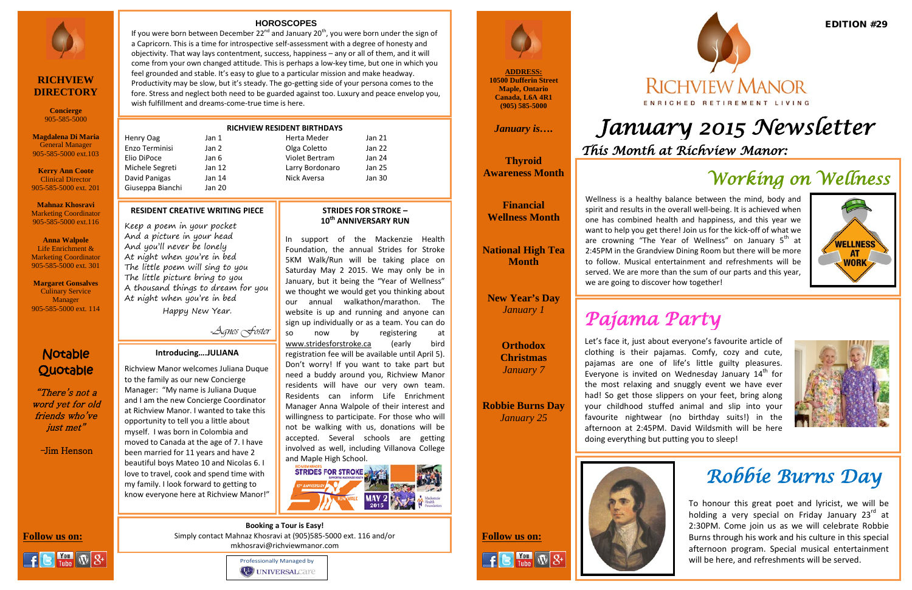**ADDRESS: 10500 Dufferin Street Maple, Ontario Canada, L6A 4R1 (905) 585-5000**

*January is….*

**Thyroid Awareness Month**

**Financial Wellness Month**

**National High Tea Month**

**New Year's Day** *January 1*

> **Orthodox Christmas** *January 7*

**Robbie Burns Day** *January 25*





## Notable Quotable

"There's not a word yet for old friends who've just met"

-Jim Henson





# *January 2015 Newsletter This Month at Richview Manor:*



### **RICHVIEW DIRECTORY**

**Concierge** 905-585-5000

**Magdalena Di Maria** General Manager 905-585-5000 ext.103

L

**Kerry Ann Coote** Clinical Director 905-585-5000 ext. 201

**Mahnaz Khosravi** Marketing Coordinator 905-585-5000 ext.116

**Anna Walpole** Life Enrichment & Marketing Coordinator 905-585-5000 ext. 301

**Margaret Gonsalves** Culinary Service Manager 905-585-5000 ext. 114

### EDITION #29



## **RICHVIEW MANOR** ENRICHED RETIREMENT LIVING

### **RESIDENT CREATIVE WRITING PIECE**

Keep a poem in your pocket And a picture in your head And you'll never be lonely At night when you're in bed The little poem will sing to you The little picture bring to you A thousand things to dream for you At night when you're in bed

If you were born between December  $22^{nd}$  and January  $20^{th}$ , you were born under the sign of a Capricorn. This is a time for introspective self-assessment with a degree of honesty and objectivity. That way lays contentment, success, happiness – any or all of them, and it will come from your own changed attitude. This is perhaps a low-key time, but one in which you feel grounded and stable. It's easy to glue to a particular mission and make headway. Productivity may be slow, but it's steady. The go-getting side of your persona comes to the fore. Stress and neglect both need to be guarded against too. Luxury and peace envelop you, wish fulfillment and dreams-come-true time is here.

Happy New Year.

-Agnes Foster

### **RICHVIEW RESIDENT BIRTHDAYS**

| Henry Oag       | Jan 1  | Herta Meder     | Jan 21 |
|-----------------|--------|-----------------|--------|
| Enzo Terminisi  | Jan 2  | Olga Coletto    | Jan 22 |
| Elio DiPoce     | Jan 6  | Violet Bertram  | Jan 24 |
| Michele Segreti | Jan 12 | Larry Bordonaro | Jan 25 |
| David Panigas   | Jan 14 | Nick Aversa     | Jan 30 |
|                 |        |                 |        |

Giuseppa Bianchi Jan 20

### **HOROSCOPES**

## *CC Working on Wellness*





**Follow us on: Follow us on:**  Simply contact Mahnaz Khosravi at (905)585-5000 ext. 116 and/or **Booking a Tour is Easy!** mkhosravi@richviewmanor.com



Wellness is a healthy balance between the mind, body and spirit and results in the overall well-being. It is achieved when one has combined health and happiness, and this year we want to help you get there! Join us for the kick-off of what we are crowning "The Year of Wellness" on January  $5<sup>th</sup>$  at 2:45PM in the Grandview Dining Room but there will be more to follow. Musical entertainment and refreshments will be served. We are more than the sum of our parts and this year, we are going to discover how together!

### **STRIDES FOR STROKE – 10th ANNIVERSARY RUN**

In support of the Mackenzie Health Foundation, the annual Strides for Stroke 5KM Walk/Run will be taking place on Saturday May 2 2015. We may only be in January, but it being the "Year of Wellness" we thought we would get you thinking about our annual walkathon/marathon. The website is up and running and anyone can sign up individually or as a team. You can do so now by registering at [www.stridesforstroke.ca](http://www.stridesforstroke.ca/) (early bird registration fee will be available until April 5). Don't worry! If you want to take part but need a buddy around you, Richview Manor residents will have our very own team. Residents can inform Life Enrichment Manager Anna Walpole of their interest and willingness to participate. For those who will not be walking with us, donations will be accepted. Several schools are getting involved as well, including Villanova College and Maple High School.



To honour this great poet and lyricist, we will be holding a very special on Friday January  $23<sup>rd</sup>$  at 2:30PM. Come join us as we will celebrate Robbie Burns through his work and his culture in this special afternoon program. Special musical entertainment will be here, and refreshments will be served.

### **Introducing….JULIANA**

Richview Manor welcomes Juliana Duque to the family as our new Concierge Manager: "My name is Juliana Duque and I am the new Concierge Coordinator at Richview Manor. I wanted to take this opportunity to tell you a little about myself. I was born in Colombia and moved to Canada at the age of 7. I have been married for 11 years and have 2 beautiful boys Mateo 10 and Nicolas 6. I love to travel, cook and spend time with my family. I look forward to getting to know everyone here at Richview Manor!"

## *Robbie Burns Day*

# *Pajama Party*

Let's face it, just about everyone's favourite article of clothing is their pajamas. Comfy, cozy and cute, pajamas are one of life's little guilty pleasures. Everyone is invited on Wednesday January  $14<sup>th</sup>$  for the most relaxing and snuggly event we have ever had! So get those slippers on your feet, bring along your childhood stuffed animal and slip into your favourite nightwear (no birthday suits!) in the afternoon at 2:45PM. David Wildsmith will be here doing everything but putting you to sleep!